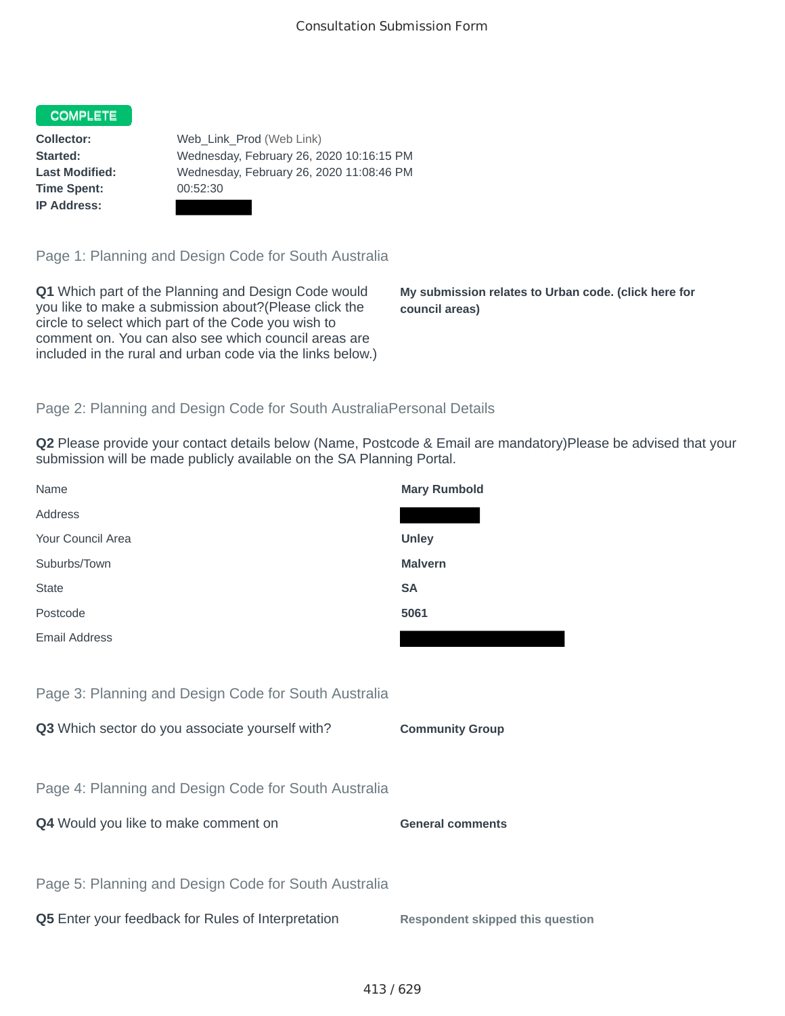## COMPLETE

**Time Spent:** 00:52:30 **IP Address:**

**Collector:** Web\_Link\_Prod (Web Link) **Started:** Wednesday, February 26, 2020 10:16:15 PM **Last Modified:** Wednesday, February 26, 2020 11:08:46 PM

Page 1: Planning and Design Code for South Australia

**Q1** Which part of the Planning and Design Code would you like to make a submission about?(Please click the circle to select which part of the Code you wish to comment on. You can also see which council areas are included in the rural and urban code via the links below.)

**My submission relates to Urban code. (click here for council areas)**

## Page 2: Planning and Design Code for South AustraliaPersonal Details

**Q2** Please provide your contact details below (Name, Postcode & Email are mandatory)Please be advised that your submission will be made publicly available on the SA Planning Portal.

| Name                                                 | <b>Mary Rumbold</b>                     |
|------------------------------------------------------|-----------------------------------------|
| Address                                              |                                         |
| Your Council Area                                    | <b>Unley</b>                            |
| Suburbs/Town                                         | <b>Malvern</b>                          |
| <b>State</b>                                         | <b>SA</b>                               |
| Postcode                                             | 5061                                    |
| <b>Email Address</b>                                 |                                         |
|                                                      |                                         |
| Page 3: Planning and Design Code for South Australia |                                         |
| Q3 Which sector do you associate yourself with?      | <b>Community Group</b>                  |
|                                                      |                                         |
| Page 4: Planning and Design Code for South Australia |                                         |
| Q4 Would you like to make comment on                 | <b>General comments</b>                 |
|                                                      |                                         |
| Page 5: Planning and Design Code for South Australia |                                         |
| Q5 Enter your feedback for Rules of Interpretation   | <b>Respondent skipped this question</b> |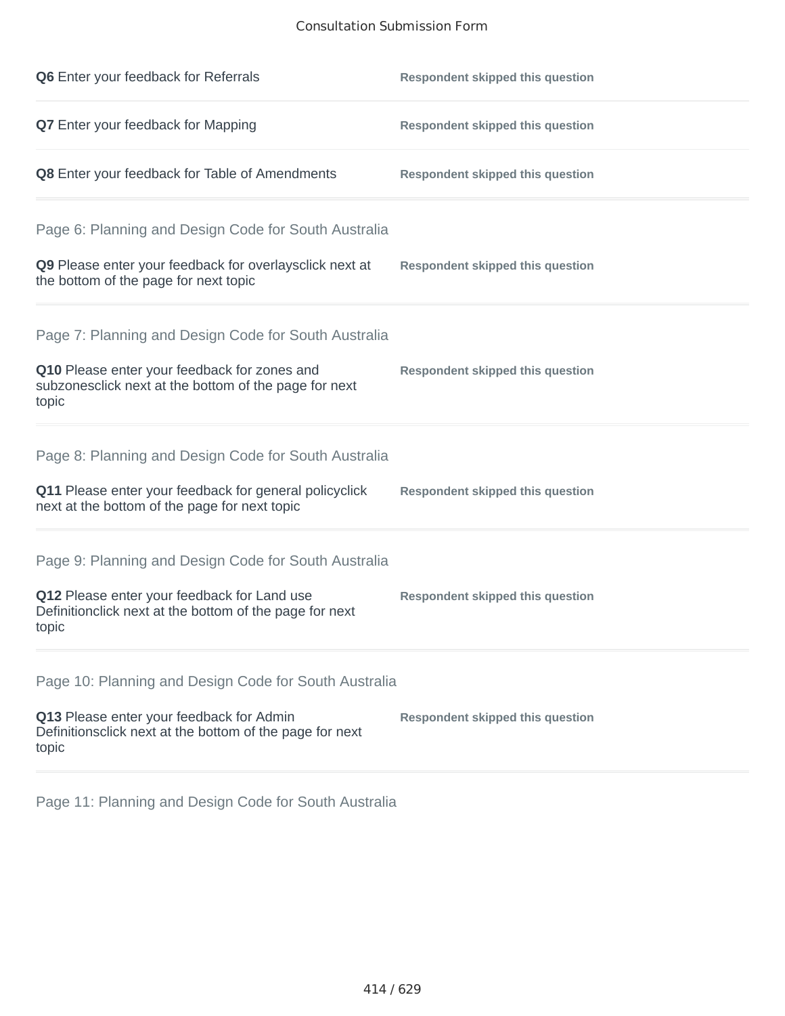## Consultation Submission Form

| Q6 Enter your feedback for Referrals                                                                            | <b>Respondent skipped this question</b> |
|-----------------------------------------------------------------------------------------------------------------|-----------------------------------------|
| Q7 Enter your feedback for Mapping                                                                              | <b>Respondent skipped this question</b> |
| Q8 Enter your feedback for Table of Amendments                                                                  | <b>Respondent skipped this question</b> |
| Page 6: Planning and Design Code for South Australia                                                            |                                         |
| Q9 Please enter your feedback for overlaysclick next at<br>the bottom of the page for next topic                | <b>Respondent skipped this question</b> |
| Page 7: Planning and Design Code for South Australia                                                            |                                         |
| Q10 Please enter your feedback for zones and<br>subzonesclick next at the bottom of the page for next<br>topic  | <b>Respondent skipped this question</b> |
| Page 8: Planning and Design Code for South Australia                                                            |                                         |
| Q11 Please enter your feedback for general policyclick<br>next at the bottom of the page for next topic         | <b>Respondent skipped this question</b> |
| Page 9: Planning and Design Code for South Australia                                                            |                                         |
| Q12 Please enter your feedback for Land use<br>Definitionclick next at the bottom of the page for next<br>topic | <b>Respondent skipped this question</b> |
| Page 10: Planning and Design Code for South Australia                                                           |                                         |
| Q13 Please enter your feedback for Admin<br>Definitionsclick next at the bottom of the page for next<br>topic   | <b>Respondent skipped this question</b> |

Page 11: Planning and Design Code for South Australia